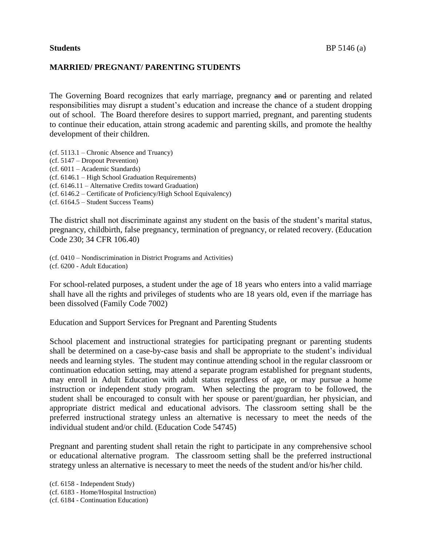## **MARRIED/ PREGNANT/ PARENTING STUDENTS**

The Governing Board recognizes that early marriage, pregnancy and or parenting and related responsibilities may disrupt a student's education and increase the chance of a student dropping out of school. The Board therefore desires to support married, pregnant, and parenting students to continue their education, attain strong academic and parenting skills, and promote the healthy development of their children.

(cf. 5113.1 – Chronic Absence and Truancy) (cf. 5147 – Dropout Prevention) (cf. 6011 – Academic Standards) (cf. 6146.1 – High School Graduation Requirements) (cf. 6146.11 – Alternative Credits toward Graduation) (cf. 6146.2 – Certificate of Proficiency/High School Equivalency) (cf. 6164.5 – Student Success Teams)

The district shall not discriminate against any student on the basis of the student's marital status, pregnancy, childbirth, false pregnancy, termination of pregnancy, or related recovery. (Education Code 230; 34 CFR 106.40)

(cf. 0410 – Nondiscrimination in District Programs and Activities) (cf. 6200 - Adult Education)

For school-related purposes, a student under the age of 18 years who enters into a valid marriage shall have all the rights and privileges of students who are 18 years old, even if the marriage has been dissolved (Family Code 7002)

Education and Support Services for Pregnant and Parenting Students

School placement and instructional strategies for participating pregnant or parenting students shall be determined on a case-by-case basis and shall be appropriate to the student's individual needs and learning styles. The student may continue attending school in the regular classroom or continuation education setting, may attend a separate program established for pregnant students, may enroll in Adult Education with adult status regardless of age, or may pursue a home instruction or independent study program. When selecting the program to be followed, the student shall be encouraged to consult with her spouse or parent/guardian, her physician, and appropriate district medical and educational advisors. The classroom setting shall be the preferred instructional strategy unless an alternative is necessary to meet the needs of the individual student and/or child. (Education Code 54745)

Pregnant and parenting student shall retain the right to participate in any comprehensive school or educational alternative program. The classroom setting shall be the preferred instructional strategy unless an alternative is necessary to meet the needs of the student and/or his/her child.

(cf. 6158 - Independent Study) (cf. 6183 - Home/Hospital Instruction) (cf. 6184 - Continuation Education)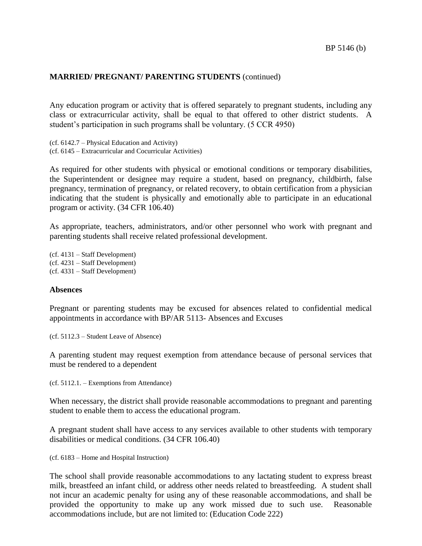## **MARRIED/ PREGNANT/ PARENTING STUDENTS** (continued)

Any education program or activity that is offered separately to pregnant students, including any class or extracurricular activity, shall be equal to that offered to other district students. A student's participation in such programs shall be voluntary. (5 CCR 4950)

(cf. 6142.7 – Physical Education and Activity) (cf. 6145 – Extracurricular and Cocurricular Activities)

As required for other students with physical or emotional conditions or temporary disabilities, the Superintendent or designee may require a student, based on pregnancy, childbirth, false pregnancy, termination of pregnancy, or related recovery, to obtain certification from a physician indicating that the student is physically and emotionally able to participate in an educational program or activity. (34 CFR 106.40)

As appropriate, teachers, administrators, and/or other personnel who work with pregnant and parenting students shall receive related professional development.

(cf. 4131 – Staff Development) (cf. 4231 – Staff Development) (cf. 4331 – Staff Development)

## **Absences**

Pregnant or parenting students may be excused for absences related to confidential medical appointments in accordance with BP/AR 5113- Absences and Excuses

(cf. 5112.3 – Student Leave of Absence)

A parenting student may request exemption from attendance because of personal services that must be rendered to a dependent

(cf. 5112.1. – Exemptions from Attendance)

When necessary, the district shall provide reasonable accommodations to pregnant and parenting student to enable them to access the educational program.

A pregnant student shall have access to any services available to other students with temporary disabilities or medical conditions. (34 CFR 106.40)

(cf. 6183 – Home and Hospital Instruction)

The school shall provide reasonable accommodations to any lactating student to express breast milk, breastfeed an infant child, or address other needs related to breastfeeding. A student shall not incur an academic penalty for using any of these reasonable accommodations, and shall be provided the opportunity to make up any work missed due to such use. Reasonable accommodations include, but are not limited to: (Education Code 222)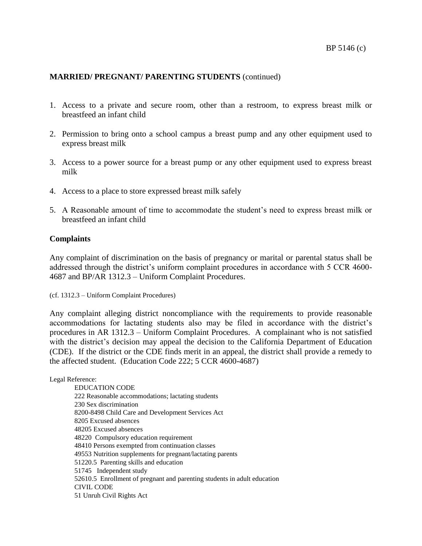# **MARRIED/ PREGNANT/ PARENTING STUDENTS** (continued)

- 1. Access to a private and secure room, other than a restroom, to express breast milk or breastfeed an infant child
- 2. Permission to bring onto a school campus a breast pump and any other equipment used to express breast milk
- 3. Access to a power source for a breast pump or any other equipment used to express breast milk
- 4. Access to a place to store expressed breast milk safely
- 5. A Reasonable amount of time to accommodate the student's need to express breast milk or breastfeed an infant child

### **Complaints**

Any complaint of discrimination on the basis of pregnancy or marital or parental status shall be addressed through the district's uniform complaint procedures in accordance with 5 CCR 4600- 4687 and BP/AR 1312.3 – Uniform Complaint Procedures.

(cf. 1312.3 – Uniform Complaint Procedures)

Any complaint alleging district noncompliance with the requirements to provide reasonable accommodations for lactating students also may be filed in accordance with the district's procedures in AR 1312.3 – Uniform Complaint Procedures. A complainant who is not satisfied with the district's decision may appeal the decision to the California Department of Education (CDE). If the district or the CDE finds merit in an appeal, the district shall provide a remedy to the affected student. (Education Code 222; 5 CCR 4600-4687)

Legal Reference:

EDUCATION CODE 222 Reasonable accommodations; lactating students 230 Sex discrimination 8200-8498 Child Care and Development Services Act 8205 Excused absences 48205 Excused absences 48220 Compulsory education requirement 48410 Persons exempted from continuation classes 49553 Nutrition supplements for pregnant/lactating parents 51220.5 Parenting skills and education 51745 Independent study 52610.5 Enrollment of pregnant and parenting students in adult education CIVIL CODE 51 Unruh Civil Rights Act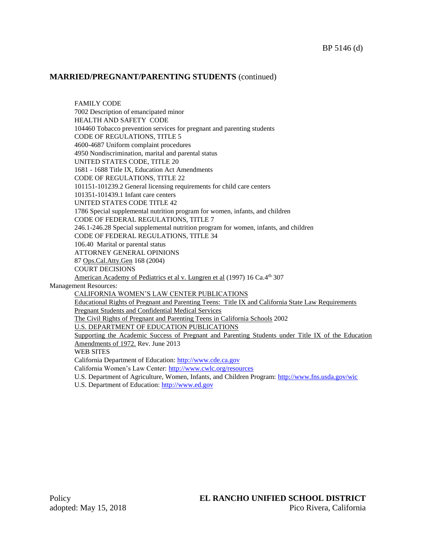## **MARRIED/PREGNANT/PARENTING STUDENTS** (continued)

FAMILY CODE 7002 Description of emancipated minor HEALTH AND SAFETY CODE 104460 Tobacco prevention services for pregnant and parenting students CODE OF REGULATIONS, TITLE 5 4600-4687 Uniform complaint procedures 4950 Nondiscrimination, marital and parental status UNITED STATES CODE, TITLE 20 1681 - 1688 Title IX, Education Act Amendments CODE OF REGULATIONS, TITLE 22 101151-101239.2 General licensing requirements for child care centers 101351-101439.1 Infant care centers UNITED STATES CODE TITLE 42 1786 Special supplemental nutrition program for women, infants, and children CODE OF FEDERAL REGULATIONS, TITLE 7 246.1-246.28 Special supplemental nutrition program for women, infants, and children CODE OF FEDERAL REGULATIONS, TITLE 34 106.40 Marital or parental status ATTORNEY GENERAL OPINIONS 87 Ops.Cal.Atty.Gen 168 (2004) COURT DECISIONS American Academy of Pediatrics et al v. Lungren et al (1997) 16 Ca.4<sup>th</sup> 307 Management Resources: CALIFORNIA WOMEN'S LAW CENTER PUBLICATIONS Educational Rights of Pregnant and Parenting Teens: Title IX and California State Law Requirements Pregnant Students and Confidential Medical Services The Civil Rights of Pregnant and Parenting Teens in California Schools 2002 U.S. DEPARTMENT OF EDUCATION PUBLICATIONS Supporting the Academic Success of Pregnant and Parenting Students under Title IX of the Education Amendments of 1972. Rev. June 2013 WEB SITES California Department of Education: [http://www.cde.ca.gov](http://www.cde.ca.gov/) California Women's Law Center[: http://www.cwlc.org/resources](http://www.cwlc.org/resources) U.S. Department of Agriculture, Women, Infants, and Children Program:<http://www.fns.usda.gov/wic> U.S. Department of Education: [http://www.ed.gov](http://www.ed.gov/)